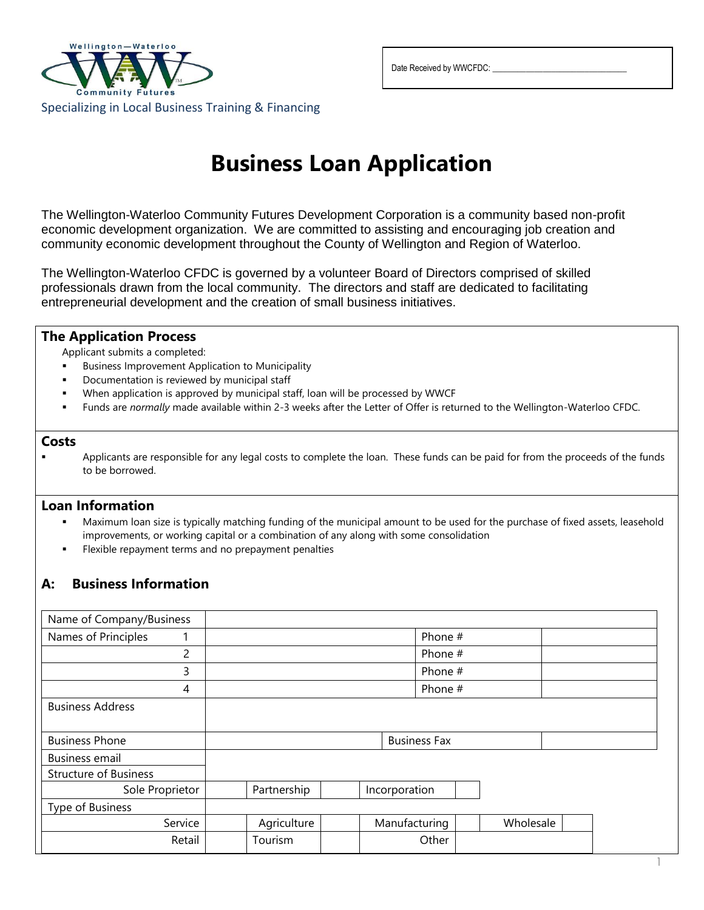

Date Received by WWCFDC:

# **Business Loan Application**

The Wellington-Waterloo Community Futures Development Corporation is a community based non-profit economic development organization. We are committed to assisting and encouraging job creation and community economic development throughout the County of Wellington and Region of Waterloo.

The Wellington-Waterloo CFDC is governed by a volunteer Board of Directors comprised of skilled professionals drawn from the local community. The directors and staff are dedicated to facilitating entrepreneurial development and the creation of small business initiatives.

## **The Application Process**

Applicant submits a completed:

- **Business Improvement Application to Municipality**
- Documentation is reviewed by municipal staff
- When application is approved by municipal staff, loan will be processed by WWCF
- Funds are *normally* made available within 2-3 weeks after the Letter of Offer is returned to the Wellington-Waterloo CFDC.

#### **Costs**

Applicants are responsible for any legal costs to complete the loan. These funds can be paid for from the proceeds of the funds to be borrowed.

### **Loan Information**

- Maximum loan size is typically matching funding of the municipal amount to be used for the purchase of fixed assets, leasehold improvements, or working capital or a combination of any along with some consolidation
- Flexible repayment terms and no prepayment penalties

## **A: Business Information**

| Name of Company/Business     |                     |  |               |           |  |
|------------------------------|---------------------|--|---------------|-----------|--|
| Names of Principles<br>1     |                     |  | Phone #       |           |  |
| 2                            |                     |  | Phone #       |           |  |
| 3                            |                     |  | Phone #       |           |  |
| 4                            |                     |  | Phone #       |           |  |
| <b>Business Address</b>      |                     |  |               |           |  |
|                              |                     |  |               |           |  |
| <b>Business Phone</b>        | <b>Business Fax</b> |  |               |           |  |
| <b>Business email</b>        |                     |  |               |           |  |
| <b>Structure of Business</b> |                     |  |               |           |  |
| Sole Proprietor              | Partnership         |  | Incorporation |           |  |
| Type of Business             |                     |  |               |           |  |
| Service                      | Agriculture         |  | Manufacturing | Wholesale |  |
| Retail                       | Tourism             |  | Other         |           |  |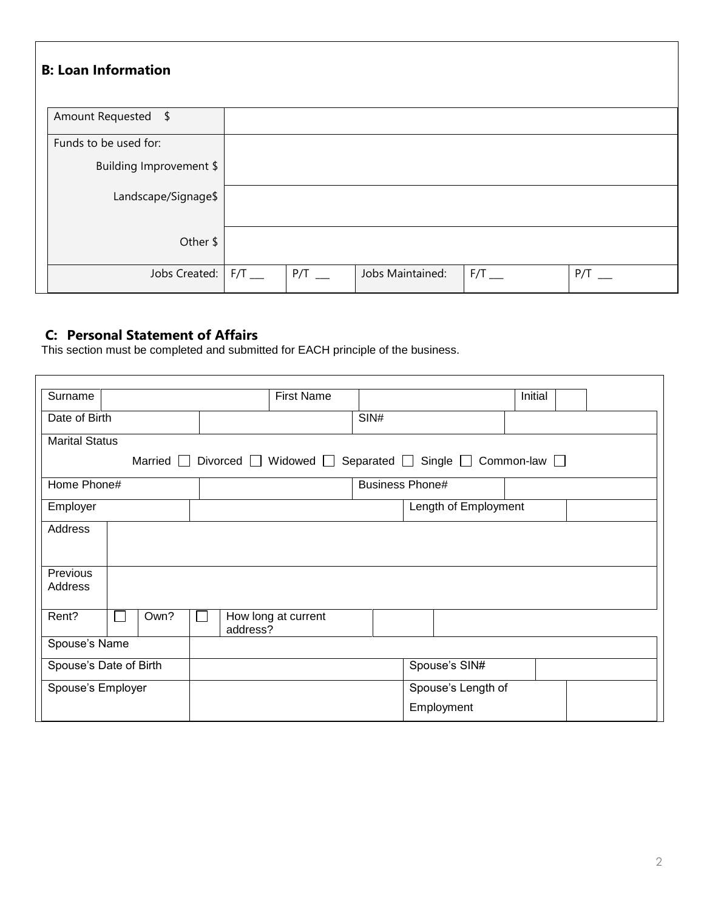| <b>B: Loan Information</b>               |          |                  |           |          |
|------------------------------------------|----------|------------------|-----------|----------|
| Amount Requested \$                      |          |                  |           |          |
| Funds to be used for:                    |          |                  |           |          |
| Building Improvement \$                  |          |                  |           |          |
| Landscape/Signage\$                      |          |                  |           |          |
| Other \$                                 |          |                  |           |          |
| Jobs Created: $\mathsf{F}/\mathsf{T}$ __ | $P/T$ __ | Jobs Maintained: | $F/T$ ___ | $P/T$ __ |

## **C: Personal Statement of Affairs**

This section must be completed and submitted for EACH principle of the business.

| Surname                                                                                        | <b>First Name</b>               |                        | Initial |  |  |
|------------------------------------------------------------------------------------------------|---------------------------------|------------------------|---------|--|--|
| Date of Birth                                                                                  |                                 | SIN#                   |         |  |  |
| <b>Marital Status</b>                                                                          |                                 |                        |         |  |  |
| Married $\Box$ Divorced $\Box$ Widowed $\Box$ Separated $\Box$ Single $\Box$ Common-law $\Box$ |                                 |                        |         |  |  |
| Home Phone#                                                                                    |                                 | <b>Business Phone#</b> |         |  |  |
| Employer                                                                                       | Length of Employment            |                        |         |  |  |
| Address                                                                                        |                                 |                        |         |  |  |
|                                                                                                |                                 |                        |         |  |  |
| Previous                                                                                       |                                 |                        |         |  |  |
| Address                                                                                        |                                 |                        |         |  |  |
| Rent?<br>Own?                                                                                  | How long at current<br>address? |                        |         |  |  |
| Spouse's Name                                                                                  |                                 |                        |         |  |  |
| Spouse's Date of Birth                                                                         |                                 | Spouse's SIN#          |         |  |  |
| Spouse's Employer                                                                              |                                 | Spouse's Length of     |         |  |  |
|                                                                                                |                                 | Employment             |         |  |  |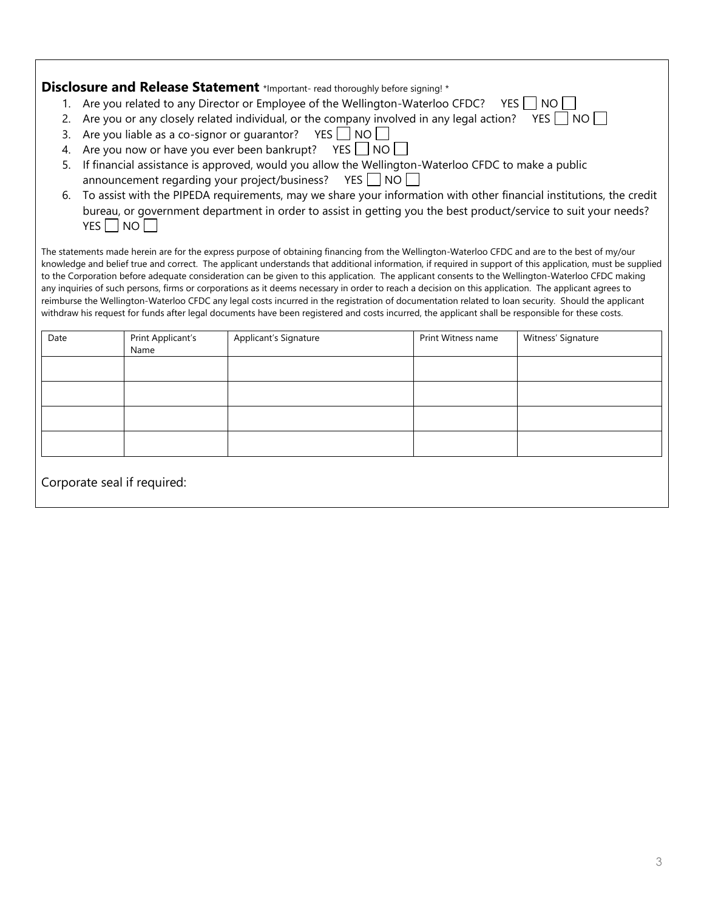|                                                                                                                                                     |                                                                                                                     | Disclosure and Release Statement *Important-read thoroughly before signing! *                                                                              |                    |                    |  |  |  |
|-----------------------------------------------------------------------------------------------------------------------------------------------------|---------------------------------------------------------------------------------------------------------------------|------------------------------------------------------------------------------------------------------------------------------------------------------------|--------------------|--------------------|--|--|--|
|                                                                                                                                                     | 1. Are you related to any Director or Employee of the Wellington-Waterloo CFDC?<br>YES II<br>NO.                    |                                                                                                                                                            |                    |                    |  |  |  |
| 2.                                                                                                                                                  | Are you or any closely related individual, or the company involved in any legal action?<br>YES     NO               |                                                                                                                                                            |                    |                    |  |  |  |
| 3.                                                                                                                                                  | Are you liable as a co-signor or guarantor?  YES NO                                                                 |                                                                                                                                                            |                    |                    |  |  |  |
| 4.                                                                                                                                                  | Are you now or have you ever been bankrupt? YES NO                                                                  |                                                                                                                                                            |                    |                    |  |  |  |
| 5.                                                                                                                                                  | If financial assistance is approved, would you allow the Wellington-Waterloo CFDC to make a public                  |                                                                                                                                                            |                    |                    |  |  |  |
|                                                                                                                                                     | announcement regarding your project/business?  YES ■ NO                                                             |                                                                                                                                                            |                    |                    |  |  |  |
| 6.                                                                                                                                                  | To assist with the PIPEDA requirements, may we share your information with other financial institutions, the credit |                                                                                                                                                            |                    |                    |  |  |  |
|                                                                                                                                                     | bureau, or government department in order to assist in getting you the best product/service to suit your needs?     |                                                                                                                                                            |                    |                    |  |  |  |
|                                                                                                                                                     | YES NO                                                                                                              |                                                                                                                                                            |                    |                    |  |  |  |
|                                                                                                                                                     |                                                                                                                     | The statements made herein are for the express purpose of obtaining financing from the Wellington-Waterloo CFDC and are to the best of my/our              |                    |                    |  |  |  |
|                                                                                                                                                     |                                                                                                                     | knowledge and belief true and correct. The applicant understands that additional information, if required in support of this application, must be supplied |                    |                    |  |  |  |
|                                                                                                                                                     |                                                                                                                     | to the Corporation before adequate consideration can be given to this application. The applicant consents to the Wellington-Waterloo CFDC making           |                    |                    |  |  |  |
|                                                                                                                                                     |                                                                                                                     | any inquiries of such persons, firms or corporations as it deems necessary in order to reach a decision on this application. The applicant agrees to       |                    |                    |  |  |  |
| reimburse the Wellington-Waterloo CFDC any legal costs incurred in the registration of documentation related to loan security. Should the applicant |                                                                                                                     |                                                                                                                                                            |                    |                    |  |  |  |
|                                                                                                                                                     |                                                                                                                     | withdraw his request for funds after legal documents have been registered and costs incurred, the applicant shall be responsible for these costs.          |                    |                    |  |  |  |
| Date                                                                                                                                                | Print Applicant's                                                                                                   | Applicant's Signature                                                                                                                                      | Print Witness name | Witness' Signature |  |  |  |
|                                                                                                                                                     | Name                                                                                                                |                                                                                                                                                            |                    |                    |  |  |  |
|                                                                                                                                                     |                                                                                                                     |                                                                                                                                                            |                    |                    |  |  |  |

Corporate seal if required:

 $\overline{\phantom{a}}$